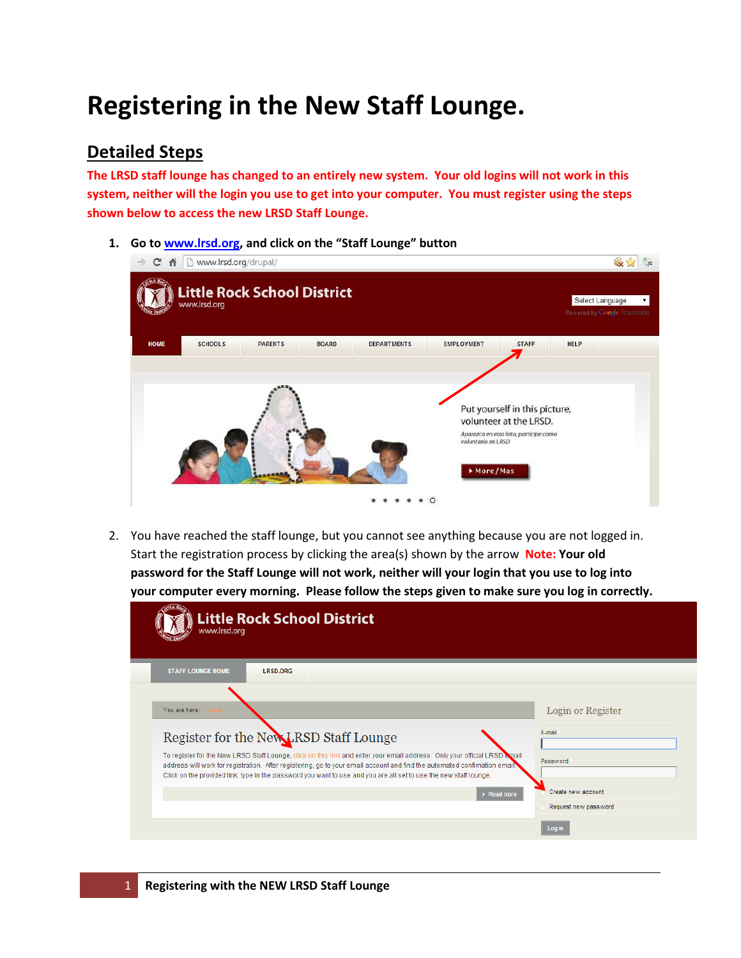## Registering in the New Staff Lounge.

## Detailed Steps

The LRSD staff lounge has changed to an entirely new system. Your old logins will not work in this system, neither will the login you use to get into your computer. You must register using the steps shown below to access the new LRSD Staff Lounge.

1. Go to www.lrsd.org, and click on the "Staff Lounge" button

| C n<br>$\Rightarrow$ | www.lrsd.org/drupal/                               |                |              |                    |                                |                                                                                                  |             |                                                | JS. |
|----------------------|----------------------------------------------------|----------------|--------------|--------------------|--------------------------------|--------------------------------------------------------------------------------------------------|-------------|------------------------------------------------|-----|
|                      | <b>Little Rock School District</b><br>www.lrsd.org |                |              |                    |                                |                                                                                                  |             | Select Language<br>Powered by Google Translate |     |
| <b>HOME</b>          | <b>SCHOOLS</b>                                     | <b>PARENTS</b> | <b>BOARD</b> | <b>DEPARTMENTS</b> | <b>EMPLOYMENT</b>              | <b>STAFF</b>                                                                                     | <b>HELP</b> |                                                |     |
|                      |                                                    |                |              |                    | voluntario en LRSD<br>More/Mas | Put yourself in this picture,<br>volunteer at the LRSD.<br>Aparezca en esta foto, participe como |             |                                                |     |

2. You have reached the staff lounge, but you cannot see anything because you are not logged in. Start the registration process by clicking the area(s) shown by the arrow Note: Your old password for the Staff Lounge will not work, neither will your login that you use to log into your computer every morning. Please follow the steps given to make sure you log in correctly.

| <b>Little Rock School District</b><br>www.lrsd.org                                                                                                                                                                                                                                                                                                                          |                      |
|-----------------------------------------------------------------------------------------------------------------------------------------------------------------------------------------------------------------------------------------------------------------------------------------------------------------------------------------------------------------------------|----------------------|
| <b>STAFF LOUNGE HOME</b><br><b>LRSD.ORG</b>                                                                                                                                                                                                                                                                                                                                 |                      |
|                                                                                                                                                                                                                                                                                                                                                                             |                      |
| You are here:                                                                                                                                                                                                                                                                                                                                                               | Login or Register    |
| Register for the New LRSD Staff Lounge                                                                                                                                                                                                                                                                                                                                      | E-mail               |
| To register for the New LRSD Staff Lounge, click on this link and enter your email address. Only your official LRSD email<br>address will work for registration. After registering, go to your email account and find the automated confimation email.<br>Click on the provided link, type in the password you want to use and you are all set to use the new staff lounge. | Password             |
| $\rightarrow$ Read more                                                                                                                                                                                                                                                                                                                                                     | Create new account.  |
|                                                                                                                                                                                                                                                                                                                                                                             | Request new password |
|                                                                                                                                                                                                                                                                                                                                                                             | Log in               |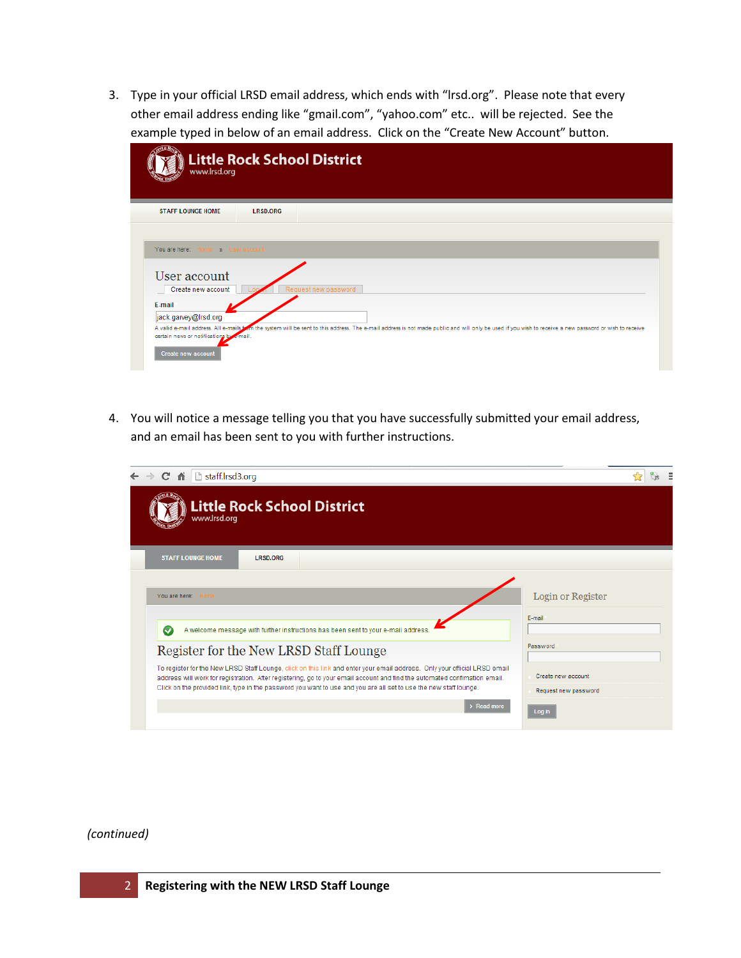3. Type in your official LRSD email address, which ends with "lrsd.org". Please note that every other email address ending like "gmail.com", "yahoo.com" etc.. will be rejected. See the example typed in below of an email address. Click on the "Create New Account" button.

| <b>STAFF LOUNGE HOME</b>          | <b>LRSD.ORG</b>      |
|-----------------------------------|----------------------|
|                                   |                      |
| You are here: Home » User account |                      |
| User account                      |                      |
|                                   |                      |
| Create new account                | Request new password |
| E-mail                            |                      |

4. You will notice a message telling you that you have successfully submitted your email address, and an email has been sent to you with further instructions.

| $\leftarrow$ $\rightarrow$ C<br>staff.lrsd3.org                                                                                                                                                                                                                                                                                                                             |                                            |  |
|-----------------------------------------------------------------------------------------------------------------------------------------------------------------------------------------------------------------------------------------------------------------------------------------------------------------------------------------------------------------------------|--------------------------------------------|--|
| <b>Little Rock School District</b><br>www.lrsd.org                                                                                                                                                                                                                                                                                                                          |                                            |  |
| <b>STAFF LOUNGE HOME</b><br><b>LRSD.ORG</b>                                                                                                                                                                                                                                                                                                                                 |                                            |  |
| You are here:<br>Home                                                                                                                                                                                                                                                                                                                                                       | Login or Register                          |  |
| A welcome message with further instructions has been sent to your e-mail address.<br>$\checkmark$                                                                                                                                                                                                                                                                           | E-mail                                     |  |
| Register for the New LRSD Staff Lounge                                                                                                                                                                                                                                                                                                                                      | Password                                   |  |
| To register for the New LRSD Staff Lounge, click on this link and enter your email address. Only your official LRSD email<br>address will work for registration. After registering, go to your email account and find the automated confimation email.<br>Click on the provided link, type in the password you want to use and you are all set to use the new staff lounge. | Create new account<br>Request new password |  |
| $\angle$ Read more                                                                                                                                                                                                                                                                                                                                                          | Log in                                     |  |

## (continued)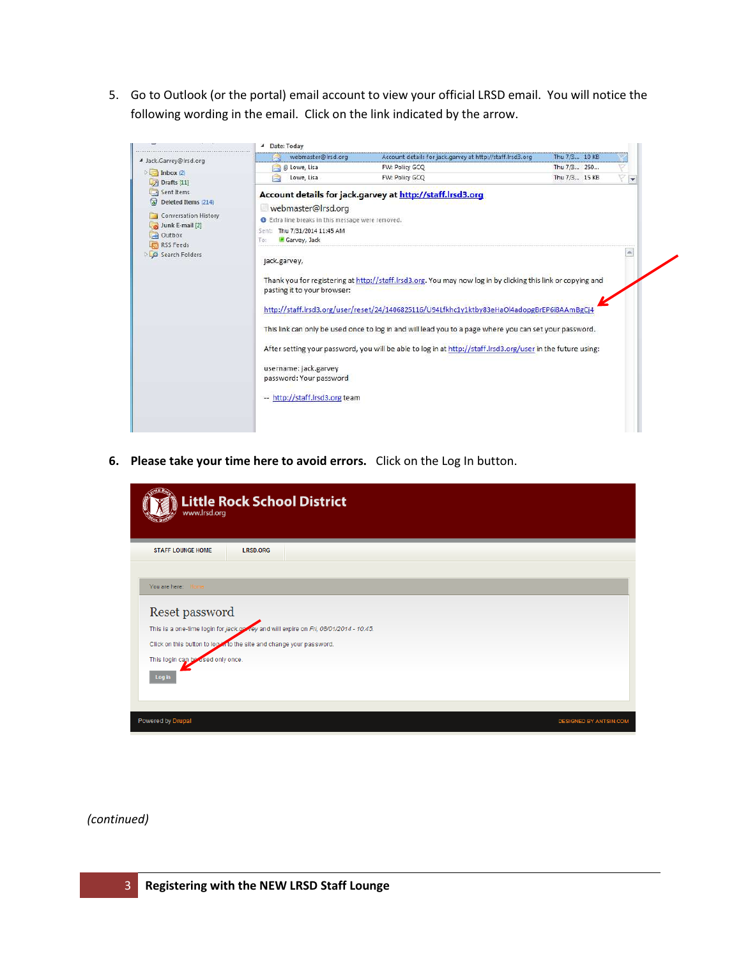5. Go to Outlook (or the portal) email account to view your official LRSD email. You will notice the following wording in the email. Click on the link indicated by the arrow.



6. Please take your time here to avoid errors. Click on the Log In button.

| <b>Little Rock School District</b><br>www.lrsd.org                                  |                               |
|-------------------------------------------------------------------------------------|-------------------------------|
| <b>STAFF LOUNGE HOME</b><br><b>LRSD.ORG</b>                                         |                               |
|                                                                                     |                               |
| You are here:<br>Home                                                               |                               |
| Reset password                                                                      |                               |
| This is a one-time login for jack.govey and will expire on Fri, 08/01/2014 - 10:45. |                               |
| Click on this button to lookin to the site and change your password.                |                               |
| This login can be used only once.                                                   |                               |
| Log in                                                                              |                               |
|                                                                                     |                               |
|                                                                                     |                               |
| Powered by Drupal                                                                   | <b>DESIGNED BY ANTSIN.COM</b> |

(continued)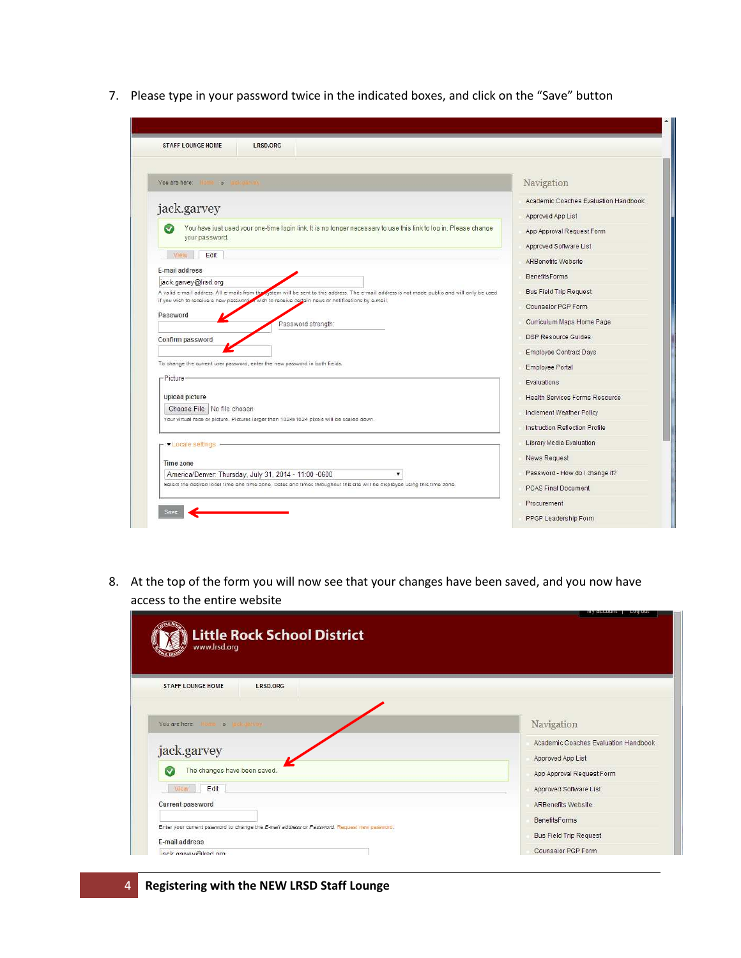7. Please type in your password twice in the indicated boxes, and click on the "Save" button

| LRSD.ORG<br><b>STAFF LOUNGE HOME</b>                                                                                                                                  |                                       |
|-----------------------------------------------------------------------------------------------------------------------------------------------------------------------|---------------------------------------|
| You are here: Home as Indications                                                                                                                                     | Navigation                            |
|                                                                                                                                                                       | Academic Coaches Evaluation Handbook  |
| jack.garvey                                                                                                                                                           | Approved App List                     |
| You have just used your one-time login link. It is no longer necessary to use this link to log in. Please change<br>your password.                                    | App Approval Request Form             |
|                                                                                                                                                                       | Approved Software List                |
| Edit<br>VIew                                                                                                                                                          | <b>ARBenefits Website</b>             |
| E-mail address                                                                                                                                                        | <b>BenefitsForms</b>                  |
| jack.garvey@Irsd.org<br>A valid e-mail address. All e-mails from the rystem will be sent to this address. The e-mail address is not made public and will only be used | <b>Bus Field Trip Request</b>         |
| if you wish to receive a new password wish to receive certain news or notifications by e-mail.                                                                        | Counselor PGP Form                    |
| Password<br>Password strength:                                                                                                                                        | Curriculum Maps Home Page             |
| Confirm password                                                                                                                                                      | DSP Resource Guides                   |
|                                                                                                                                                                       | <b>Employee Contract Days</b>         |
| To change the current user password, enter the new password in both fields.                                                                                           | Employee Portal                       |
| -Picture-                                                                                                                                                             | Evaluations                           |
| <b>Upload picture</b>                                                                                                                                                 | <b>Health Services Forms Resource</b> |
| Choose File   No file chosen                                                                                                                                          | Inclement Weather Policy              |
| Your virtual face or picture. Pictures larger than 1024x1024 pixels will be scaled down.                                                                              | Instruction Reflection Profile        |
| - Locale settings -                                                                                                                                                   | Library Media Evaluation              |
|                                                                                                                                                                       | News Request                          |
| Time zone<br>America/Denver: Thursday, July 31, 2014 - 11:00 -0600<br>$\blacktriangledown$                                                                            | Password - How do I change it?        |
| Select the desired local time and time zone. Dates and times throughout this site will be displayed using this time zone.                                             | <b>PCAS Final Document</b>            |
|                                                                                                                                                                       | Procurement                           |

8. At the top of the form you will now see that your changes have been saved, and you now have access to the entire website

| <b>STAFF LOUNGE HOME</b><br>LRSD.ORG                                                        |                                                       |
|---------------------------------------------------------------------------------------------|-------------------------------------------------------|
| You are here:<br>Home (%)                                                                   | Navigation                                            |
| jack.garvey                                                                                 | Academic Coaches Evaluation Handbook                  |
|                                                                                             | Approved App List                                     |
| The changes have been saved.<br>M                                                           | App Approval Request Form                             |
|                                                                                             |                                                       |
| Edit<br><b>Mew</b>                                                                          | Approved Software List                                |
| Current password                                                                            | <b>ARBenefits Website</b>                             |
|                                                                                             |                                                       |
| Enter your current password to change the E-mail address or Password. Request new password. | <b>BenefitsForms</b><br><b>Bus Field Trip Request</b> |

## 4 Registering with the NEW LRSD Staff Lounge